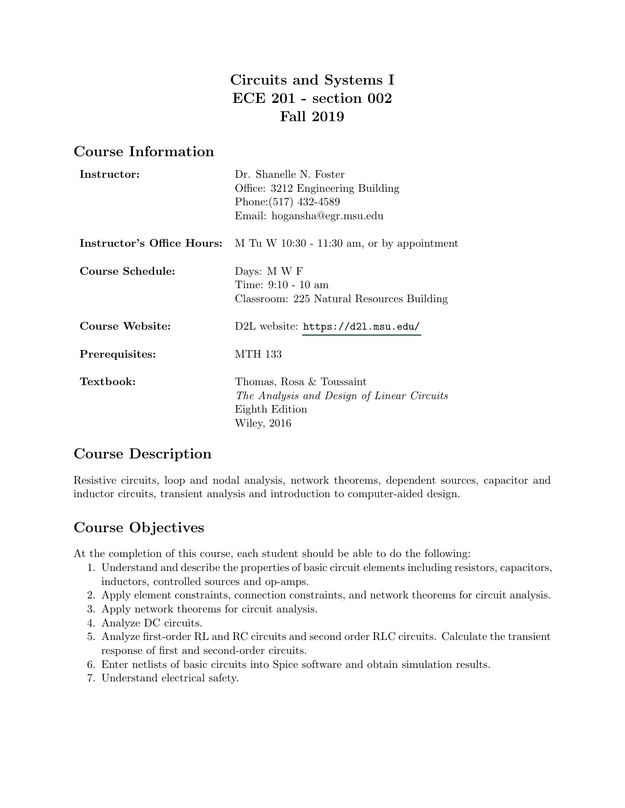# Circuits and Systems I ECE 201 - section 002 Fall 2019

# Course Information

| Instructor:      | Dr. Shanelle N. Foster<br>Office: 3212 Engineering Building<br>Phone: (517) 432-4589<br>Email: hogansha@egr.msu.edu |
|------------------|---------------------------------------------------------------------------------------------------------------------|
|                  | <b>Instructor's Office Hours:</b> M Tu W 10:30 - 11:30 am, or by appointment                                        |
| Course Schedule: | Days: M W F<br>Time: 9:10 - 10 am<br>Classroom: 225 Natural Resources Building                                      |
| Course Website:  | D2L website: https://d21.msu.edu/                                                                                   |
| Prerequisites:   | MTH 133                                                                                                             |
| Textbook:        | Thomas, Rosa & Toussaint<br>The Analysis and Design of Linear Circuits<br>Eighth Edition<br>Wiley, 2016             |

# Course Description

Resistive circuits, loop and nodal analysis, network theorems, dependent sources, capacitor and inductor circuits, transient analysis and introduction to computer-aided design.

# Course Objectives

At the completion of this course, each student should be able to do the following:

- 1. Understand and describe the properties of basic circuit elements including resistors, capacitors, inductors, controlled sources and op-amps.
- 2. Apply element constraints, connection constraints, and network theorems for circuit analysis.
- 3. Apply network theorems for circuit analysis.
- 4. Analyze DC circuits.
- 5. Analyze first-order RL and RC circuits and second order RLC circuits. Calculate the transient response of first and second-order circuits.
- 6. Enter netlists of basic circuits into Spice software and obtain simulation results.
- 7. Understand electrical safety.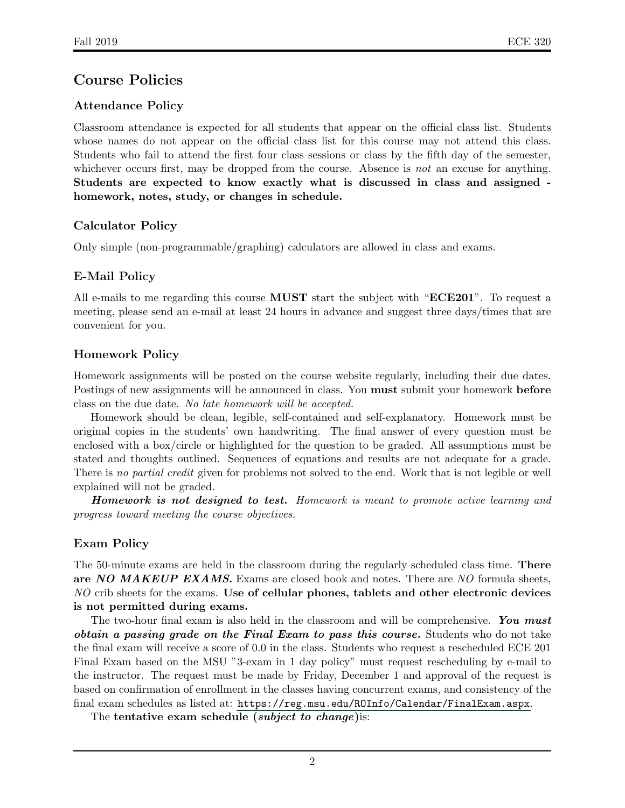# Course Policies

## Attendance Policy

Classroom attendance is expected for all students that appear on the official class list. Students whose names do not appear on the official class list for this course may not attend this class. Students who fail to attend the first four class sessions or class by the fifth day of the semester, whichever occurs first, may be dropped from the course. Absence is *not* an excuse for anything. Students are expected to know exactly what is discussed in class and assigned homework, notes, study, or changes in schedule.

### Calculator Policy

Only simple (non-programmable/graphing) calculators are allowed in class and exams.

## E-Mail Policy

All e-mails to me regarding this course **MUST** start the subject with "**ECE201**". To request a meeting, please send an e-mail at least 24 hours in advance and suggest three days/times that are convenient for you.

### Homework Policy

Homework assignments will be posted on the course website regularly, including their due dates. Postings of new assignments will be announced in class. You must submit your homework before class on the due date. No late homework will be accepted.

Homework should be clean, legible, self-contained and self-explanatory. Homework must be original copies in the students' own handwriting. The final answer of every question must be enclosed with a box/circle or highlighted for the question to be graded. All assumptions must be stated and thoughts outlined. Sequences of equations and results are not adequate for a grade. There is no partial credit given for problems not solved to the end. Work that is not legible or well explained will not be graded.

Homework is not designed to test. Homework is meant to promote active learning and progress toward meeting the course objectives.

## Exam Policy

The 50-minute exams are held in the classroom during the regularly scheduled class time. There are NO MAKEUP EXAMS. Exams are closed book and notes. There are NO formula sheets, NO crib sheets for the exams. Use of cellular phones, tablets and other electronic devices is not permitted during exams.

The two-hour final exam is also held in the classroom and will be comprehensive. You must obtain a passing grade on the Final Exam to pass this course. Students who do not take the final exam will receive a score of 0.0 in the class. Students who request a rescheduled ECE 201 Final Exam based on the MSU "3-exam in 1 day policy" must request rescheduling by e-mail to the instructor. The request must be made by Friday, December 1 and approval of the request is based on confirmation of enrollment in the classes having concurrent exams, and consistency of the final exam schedules as listed at: <https://reg.msu.edu/ROInfo/Calendar/FinalExam.aspx>.

The tentative exam schedule *(subject to change)* is: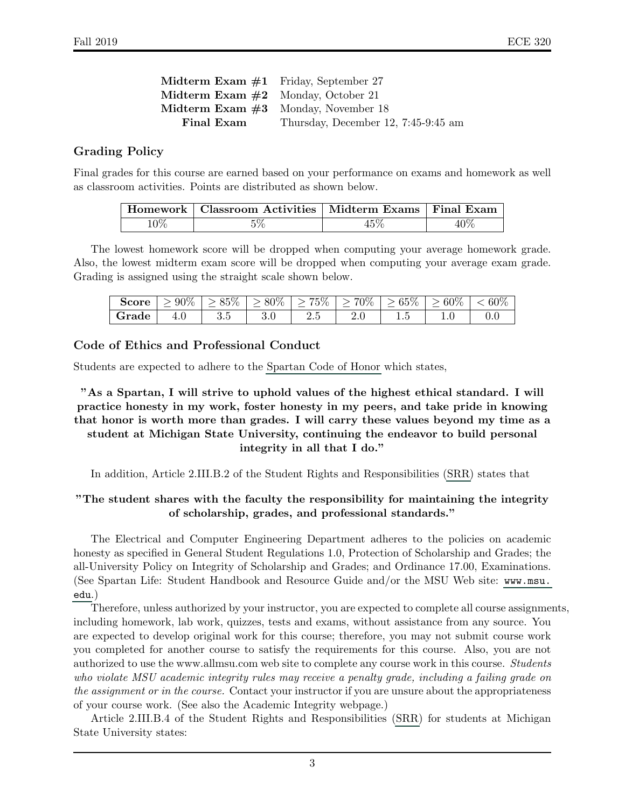| <b>Midterm Exam <math>\#1</math></b> Friday, September 27 |                                       |
|-----------------------------------------------------------|---------------------------------------|
| <b>Midterm Exam <math>\#2</math></b> Monday, October 21   |                                       |
| <b>Midterm Exam <math>\#3</math></b> Monday, November 18  |                                       |
| Final Exam                                                | Thursday, December 12, $7:45-9:45$ am |

#### Grading Policy

Final grades for this course are earned based on your performance on exams and homework as well as classroom activities. Points are distributed as shown below.

|        | Homework   Classroom Activities   Midterm Exams   Final Exam |     |     |
|--------|--------------------------------------------------------------|-----|-----|
| $10\%$ |                                                              | 45% | 40% |

The lowest homework score will be dropped when computing your average homework grade. Also, the lowest midterm exam score will be dropped when computing your average exam grade. Grading is assigned using the straight scale shown below.

| Score | $> 90\%$ | $> 85\%$ | $\degree$ > 80\%              | 75% | 70% | $>65\%$ | $\geq 60\%$ | 60% |
|-------|----------|----------|-------------------------------|-----|-----|---------|-------------|-----|
| Grade |          | 3.5      | $\mathbf{v} \cdot \mathbf{v}$ | ∠⊶∪ | 4.U | ⊥.∪     | ⊥∙∪         |     |

#### Code of Ethics and Professional Conduct

Students are expected to adhere to the [Spartan Code of Honor](http://splife.studentlife.msu.edu/spartan-code-of-honor-academic-pledge) which states,

"As a Spartan, I will strive to uphold values of the highest ethical standard. I will practice honesty in my work, foster honesty in my peers, and take pride in knowing that honor is worth more than grades. I will carry these values beyond my time as a student at Michigan State University, continuing the endeavor to build personal integrity in all that I do."

In addition, Article 2.III.B.2 of the Student Rights and Responsibilities [\(SRR\)](http://splife.studentlife.msu.edu/student-rights-and-responsibilities-at-michigan-state-university) states that

#### "The student shares with the faculty the responsibility for maintaining the integrity of scholarship, grades, and professional standards."

The Electrical and Computer Engineering Department adheres to the policies on academic honesty as specified in General Student Regulations 1.0, Protection of Scholarship and Grades; the all-University Policy on Integrity of Scholarship and Grades; and Ordinance 17.00, Examinations. (See Spartan Life: Student Handbook and Resource Guide and/or the MSU Web site: [www.msu.](www.msu.edu) [edu](www.msu.edu).)

Therefore, unless authorized by your instructor, you are expected to complete all course assignments, including homework, lab work, quizzes, tests and exams, without assistance from any source. You are expected to develop original work for this course; therefore, you may not submit course work you completed for another course to satisfy the requirements for this course. Also, you are not authorized to use the www.allmsu.com web site to complete any course work in this course. Students who violate MSU academic integrity rules may receive a penalty grade, including a failing grade on the assignment or in the course. Contact your instructor if you are unsure about the appropriateness of your course work. (See also the Academic Integrity webpage.)

Article 2.III.B.4 of the Student Rights and Responsibilities [\(SRR\)](http://splife.studentlife.msu.edu/student-rights-and-responsibilities-at-michigan-state-university) for students at Michigan State University states: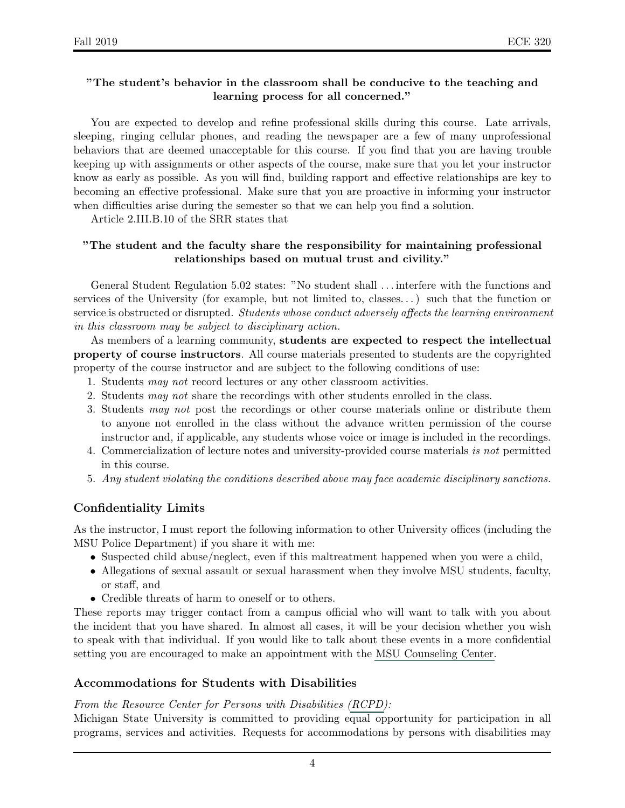#### "The student's behavior in the classroom shall be conducive to the teaching and learning process for all concerned."

You are expected to develop and refine professional skills during this course. Late arrivals, sleeping, ringing cellular phones, and reading the newspaper are a few of many unprofessional behaviors that are deemed unacceptable for this course. If you find that you are having trouble keeping up with assignments or other aspects of the course, make sure that you let your instructor know as early as possible. As you will find, building rapport and effective relationships are key to becoming an effective professional. Make sure that you are proactive in informing your instructor when difficulties arise during the semester so that we can help you find a solution.

Article 2.III.B.10 of the SRR states that

#### "The student and the faculty share the responsibility for maintaining professional relationships based on mutual trust and civility."

General Student Regulation 5.02 states: "No student shall . . . interfere with the functions and services of the University (for example, but not limited to, classes. . . ) such that the function or service is obstructed or disrupted. Students whose conduct adversely affects the learning environment in this classroom may be subject to disciplinary action.

As members of a learning community, students are expected to respect the intellectual property of course instructors. All course materials presented to students are the copyrighted property of the course instructor and are subject to the following conditions of use:

- 1. Students may not record lectures or any other classroom activities.
- 2. Students may not share the recordings with other students enrolled in the class.
- 3. Students may not post the recordings or other course materials online or distribute them to anyone not enrolled in the class without the advance written permission of the course instructor and, if applicable, any students whose voice or image is included in the recordings.
- 4. Commercialization of lecture notes and university-provided course materials is not permitted in this course.
- 5. Any student violating the conditions described above may face academic disciplinary sanctions.

### Confidentiality Limits

As the instructor, I must report the following information to other University offices (including the MSU Police Department) if you share it with me:

- Suspected child abuse/neglect, even if this maltreatment happened when you were a child,
- Allegations of sexual assault or sexual harassment when they involve MSU students, faculty, or staff, and
- Credible threats of harm to oneself or to others.

These reports may trigger contact from a campus official who will want to talk with you about the incident that you have shared. In almost all cases, it will be your decision whether you wish to speak with that individual. If you would like to talk about these events in a more confidential setting you are encouraged to make an appointment with the [MSU Counseling Center.](http://counseling.msu.edu/)

#### Accommodations for Students with Disabilities

#### From the Resource Center for Persons with Disabilities [\(RCPD\)](https://www.rcpd.msu.edu/):

Michigan State University is committed to providing equal opportunity for participation in all programs, services and activities. Requests for accommodations by persons with disabilities may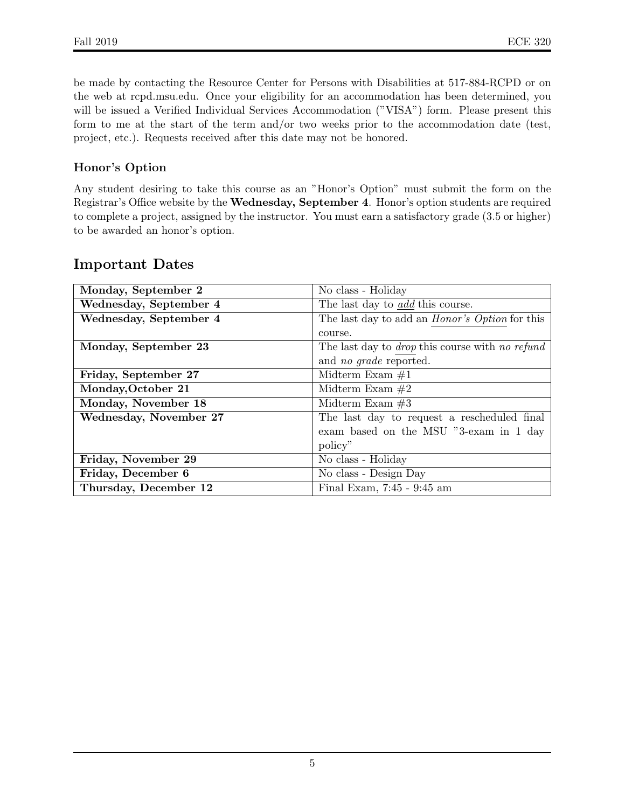be made by contacting the Resource Center for Persons with Disabilities at 517-884-RCPD or on the web at rcpd.msu.edu. Once your eligibility for an accommodation has been determined, you will be issued a Verified Individual Services Accommodation ("VISA") form. Please present this form to me at the start of the term and/or two weeks prior to the accommodation date (test, project, etc.). Requests received after this date may not be honored.

### Honor's Option

Any student desiring to take this course as an "Honor's Option" must submit the form on the Registrar's Office website by the Wednesday, September 4. Honor's option students are required to complete a project, assigned by the instructor. You must earn a satisfactory grade (3.5 or higher) to be awarded an honor's option.

## Important Dates

| Monday, September 2    | No class - Holiday                                     |
|------------------------|--------------------------------------------------------|
| Wednesday, September 4 | The last day to <i>add</i> this course.                |
| Wednesday, September 4 | The last day to add an <i>Honor's Option</i> for this  |
|                        | course.                                                |
| Monday, September 23   | The last day to <i>drop</i> this course with no refund |
|                        | and <i>no grade</i> reported.                          |
| Friday, September 27   | Midterm Exam $#1$                                      |
| Monday, October 21     | Midterm Exam $#2$                                      |
| Monday, November 18    | Midterm Exam $#3$                                      |
| Wednesday, November 27 | The last day to request a rescheduled final            |
|                        | exam based on the MSU "3-exam in 1 day                 |
|                        | policy"                                                |
| Friday, November 29    | No class - Holiday                                     |
| Friday, December 6     | No class - Design Day                                  |
| Thursday, December 12  | Final Exam, 7:45 - 9:45 am                             |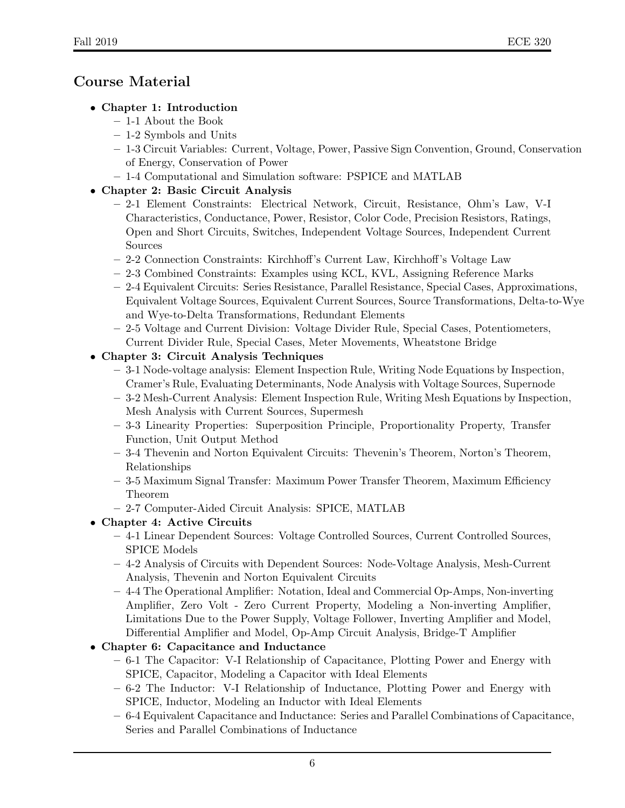# Course Material

## • Chapter 1: Introduction

- 1-1 About the Book
- 1-2 Symbols and Units
- 1-3 Circuit Variables: Current, Voltage, Power, Passive Sign Convention, Ground, Conservation of Energy, Conservation of Power
- 1-4 Computational and Simulation software: PSPICE and MATLAB

## • Chapter 2: Basic Circuit Analysis

- 2-1 Element Constraints: Electrical Network, Circuit, Resistance, Ohm's Law, V-I Characteristics, Conductance, Power, Resistor, Color Code, Precision Resistors, Ratings, Open and Short Circuits, Switches, Independent Voltage Sources, Independent Current Sources
- 2-2 Connection Constraints: Kirchhoff's Current Law, Kirchhoff's Voltage Law
- 2-3 Combined Constraints: Examples using KCL, KVL, Assigning Reference Marks
- 2-4 Equivalent Circuits: Series Resistance, Parallel Resistance, Special Cases, Approximations, Equivalent Voltage Sources, Equivalent Current Sources, Source Transformations, Delta-to-Wye and Wye-to-Delta Transformations, Redundant Elements
- 2-5 Voltage and Current Division: Voltage Divider Rule, Special Cases, Potentiometers, Current Divider Rule, Special Cases, Meter Movements, Wheatstone Bridge
- Chapter 3: Circuit Analysis Techniques
	- 3-1 Node-voltage analysis: Element Inspection Rule, Writing Node Equations by Inspection, Cramer's Rule, Evaluating Determinants, Node Analysis with Voltage Sources, Supernode
	- 3-2 Mesh-Current Analysis: Element Inspection Rule, Writing Mesh Equations by Inspection, Mesh Analysis with Current Sources, Supermesh
	- 3-3 Linearity Properties: Superposition Principle, Proportionality Property, Transfer Function, Unit Output Method
	- 3-4 Thevenin and Norton Equivalent Circuits: Thevenin's Theorem, Norton's Theorem, Relationships
	- 3-5 Maximum Signal Transfer: Maximum Power Transfer Theorem, Maximum Efficiency Theorem
	- 2-7 Computer-Aided Circuit Analysis: SPICE, MATLAB

## • Chapter 4: Active Circuits

- 4-1 Linear Dependent Sources: Voltage Controlled Sources, Current Controlled Sources, SPICE Models
- 4-2 Analysis of Circuits with Dependent Sources: Node-Voltage Analysis, Mesh-Current Analysis, Thevenin and Norton Equivalent Circuits
- 4-4 The Operational Amplifier: Notation, Ideal and Commercial Op-Amps, Non-inverting Amplifier, Zero Volt - Zero Current Property, Modeling a Non-inverting Amplifier, Limitations Due to the Power Supply, Voltage Follower, Inverting Amplifier and Model, Differential Amplifier and Model, Op-Amp Circuit Analysis, Bridge-T Amplifier

## • Chapter 6: Capacitance and Inductance

- 6-1 The Capacitor: V-I Relationship of Capacitance, Plotting Power and Energy with SPICE, Capacitor, Modeling a Capacitor with Ideal Elements
- 6-2 The Inductor: V-I Relationship of Inductance, Plotting Power and Energy with SPICE, Inductor, Modeling an Inductor with Ideal Elements
- 6-4 Equivalent Capacitance and Inductance: Series and Parallel Combinations of Capacitance, Series and Parallel Combinations of Inductance